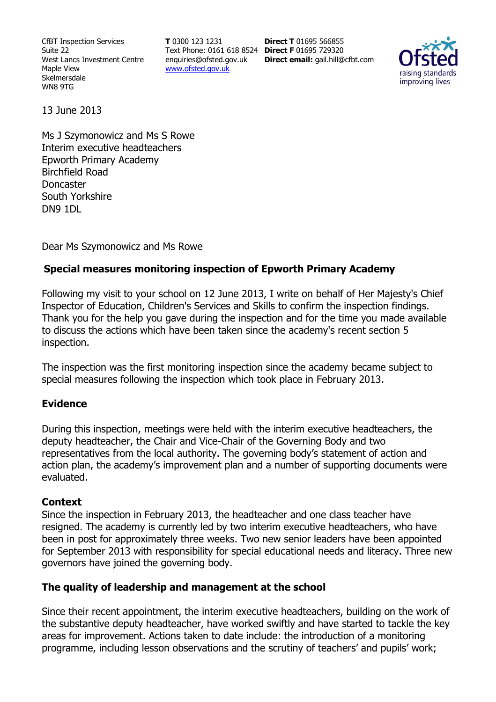CfBT Inspection Services Suite 22 West Lancs Investment Centre Maple View Skelmersdale WN8 9TG

**T** 0300 123 1231 Text Phone: 0161 618 8524 **Direct F** 01695 729320 enquiries@ofsted.gov.uk www.ofsted.gov.uk

**Direct T** 01695 566855 **Direct email:** gail.hill@cfbt.com



13 June 2013

Ms J Szymonowicz and Ms S Rowe Interim executive headteachers Epworth Primary Academy Birchfield Road Doncaster South Yorkshire DN9 1DL

Dear Ms Szymonowicz and Ms Rowe

## **Special measures monitoring inspection of Epworth Primary Academy**

Following my visit to your school on 12 June 2013, I write on behalf of Her Majesty's Chief Inspector of Education, Children's Services and Skills to confirm the inspection findings. Thank you for the help you gave during the inspection and for the time you made available to discuss the actions which have been taken since the academy's recent section 5 inspection.

The inspection was the first monitoring inspection since the academy became subject to special measures following the inspection which took place in February 2013.

## **Evidence**

During this inspection, meetings were held with the interim executive headteachers, the deputy headteacher, the Chair and Vice-Chair of the Governing Body and two representatives from the local authority. The governing body's statement of action and action plan, the academy's improvement plan and a number of supporting documents were evaluated.

## **Context**

Since the inspection in February 2013, the headteacher and one class teacher have resigned. The academy is currently led by two interim executive headteachers, who have been in post for approximately three weeks. Two new senior leaders have been appointed for September 2013 with responsibility for special educational needs and literacy. Three new governors have joined the governing body.

## **The quality of leadership and management at the school**

Since their recent appointment, the interim executive headteachers, building on the work of the substantive deputy headteacher, have worked swiftly and have started to tackle the key areas for improvement. Actions taken to date include: the introduction of a monitoring programme, including lesson observations and the scrutiny of teachers' and pupils' work;